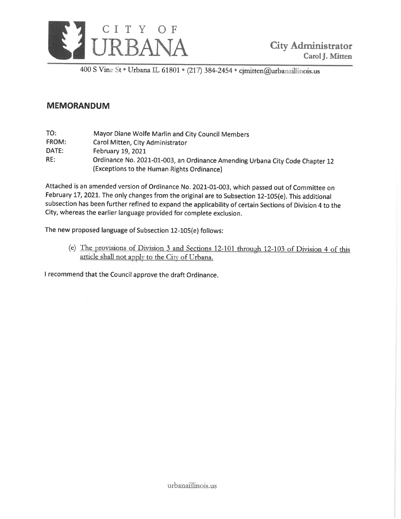

400 S Vine St · Urbana IL 61801 · (217) 384-2454 · cjmitten@urbanaillinois.us

# **MEMORANDUM**

| TO:   | Mayor Diane Wolfe Marlin and City Council Members                            |
|-------|------------------------------------------------------------------------------|
| FROM: | Carol Mitten, City Administrator                                             |
| DATE: | February 19, 2021                                                            |
| RE:   | Ordinance No. 2021-01-003, an Ordinance Amending Urbana City Code Chapter 12 |
|       | (Exceptions to the Human Rights Ordinance)                                   |

Attached is an amended version of Ordinance No. 2021-01-003, which passed out of Committee on February 17, 2021. The only changes from the original are to Subsection 12-105(e). This additional subsection has been further refined to expand the applicability of certain Sections of Division 4 to the City, whereas the earlier language provided for complete exclusion.

The new proposed language of Subsection 12-105(e) follows:

(e) The provisions of Division 3 and Sections 12-101 through 12-103 of Division 4 of this article shall not apply to the City of Urbana.

I recommend that the Council approve the draft Ordinance.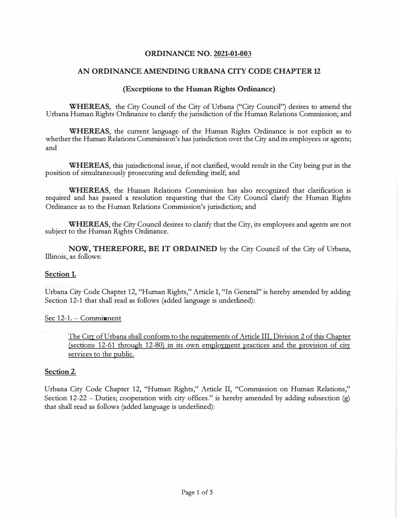# **ORDINANCE NO. 2021-01-003**

# **AN ORDINANCE AMENDING URBANA CITY CODE CHAPTER 12**

### **(Exceptions to the Human Rights Ordinance)**

**WHEREAS,** the City Council of the City of Urbana ("City Council") desires to amend the Urbana Human Rights Ordinance to clarify the jurisdiction of the Human Relations Commission; and

**WHEREAS,** the current language of the Human Rights Ordinance is not explicit as to whether the Human Relations Commission's has jurisdiction over the City and its employees or agents; and

**WHEREAS,** this jurisdictional issue, if not clarified, would result in the City being put in the position of simultaneously prosecuting and defending itself; and

**WHEREAS,** the Human Relations Commission has also recognized that clarification is required and has passed a resolution requesting that the City Council clarify the Human Rights Ordinance as to the Human Relations Commission's jurisdiction; and

**WHEREAS,** the City Council desires to clarify that the City, its employees and agents are not subject to the Human Rights Ordinance.

**NOW, THEREFORE, BE IT ORDAINED** by the City Council of the City of Urbana, Illinois, as follows:

### **Section 1.**

Urbana City Code Chapter 12, "Human Rights," Article I, "In General" is hereby amended by adding Section 12-1 that shall read as follows (added language is underlined):

#### Sec 12-1. - Commitment

The City of Urbana shall conform to the requirements of Article III, Division 2 of this Chapter (sections 12-61 through 12-80) in its own employment practices and the provision of city services to the public.

#### **Section 2.**

Urbana City Code Chapter 12, "Human Rights," Article II, "Commission on Human Relations," Section 12-22 - Duties; cooperation with city offices." is hereby amended by adding subsection  $(g)$ that shall read as follows (added language is underlined):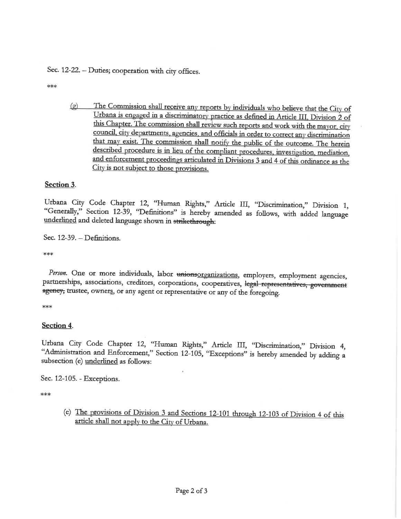Sec. 12-22. - Duties; cooperation with city offices.

\*\*\*

The Commission shall receive any reports by individuals who believe that the City of  $\left( \rho \right)$ Urbana is engaged in a discriminatory practice as defined in Article III, Division 2 of this Chapter. The commission shall review such reports and work with the mayor, city council, city departments, agencies, and officials in order to correct any discrimination that may exist. The commission shall notify the public of the outcome. The herein described procedure is in lieu of the compliant procedures, investigation, mediation, and enforcement proceedings articulated in Divisions 3 and 4 of this ordinance as the City is not subject to those provisions.

# Section 3.

Urbana City Code Chapter 12, "Human Rights," Article III, "Discrimination," Division 1, "Generally," Section 12-39, "Definitions" is hereby amended as follows, with added language underlined and deleted language shown in strikethrough:

Sec.  $12-39$ . - Definitions.

 $***$ 

Person. One or more individuals, labor unionsorganizations, employers, employment agencies, partnerships, associations, creditors, corporations, cooperatives, legal representatives, government agency, trustee, owners, or any agent or representative or any of the foregoing.

∗∗∗

### Section 4.

Urbana City Code Chapter 12, "Human Rights," Article III, "Discrimination," Division 4, "Administration and Enforcement," Section 12-105, "Exceptions" is hereby amended by adding a subsection (e) underlined as follows:

Sec. 12-105. - Exceptions.

\*\*\*

(e) The provisions of Division 3 and Sections 12-101 through 12-103 of Division 4 of this article shall not apply to the City of Urbana.